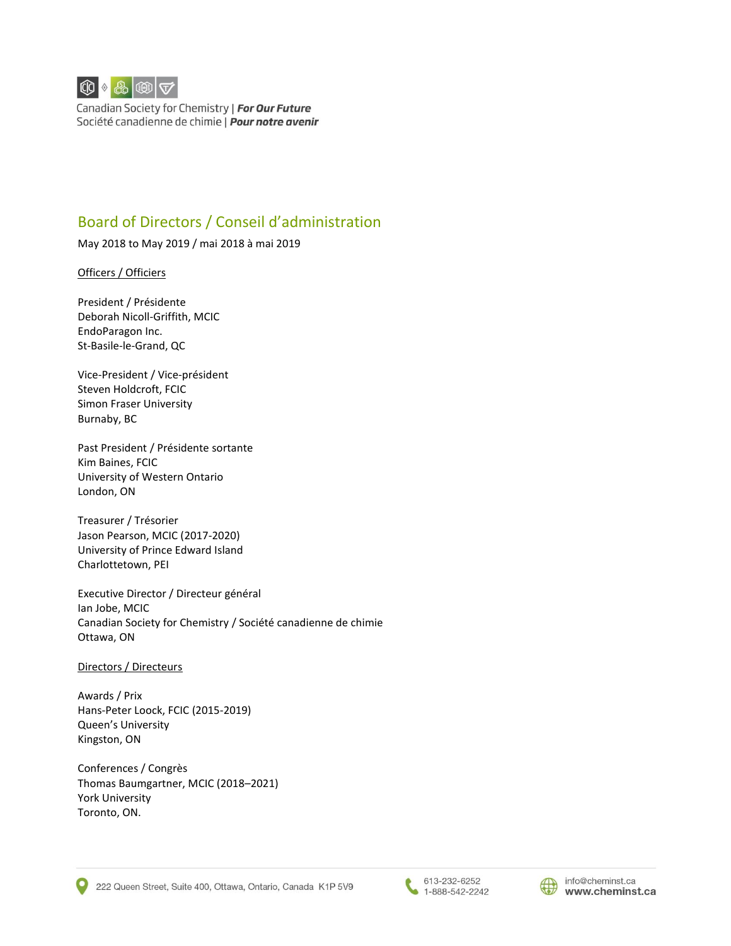

Canadian Society for Chemistry | For Our Future Société canadienne de chimie | Pour notre avenir

## Board of Directors / Conseil d'administration

May 2018 to May 2019 / mai 2018 à mai 2019

Officers / Officiers

President / Présidente Deborah Nicoll-Griffith, MCIC EndoParagon Inc. St-Basile-le-Grand, QC

Vice-President / Vice-président Steven Holdcroft, FCIC Simon Fraser University Burnaby, BC

Past President / Présidente sortante Kim Baines, FCIC University of Western Ontario London, ON

Treasurer / Trésorier Jason Pearson, MCIC (2017-2020) University of Prince Edward Island Charlottetown, PEI

Executive Director / Directeur général Ian Jobe, MCIC Canadian Society for Chemistry / Société canadienne de chimie Ottawa, ON

## Directors / Directeurs

Awards / Prix Hans-Peter Loock, FCIC (2015-2019) Queen's University Kingston, ON

Conferences / Congrès Thomas Baumgartner, MCIC (2018–2021) York University Toronto, ON.



222 Queen Street, Suite 400, Ottawa, Ontario, Canada K1P 5V9